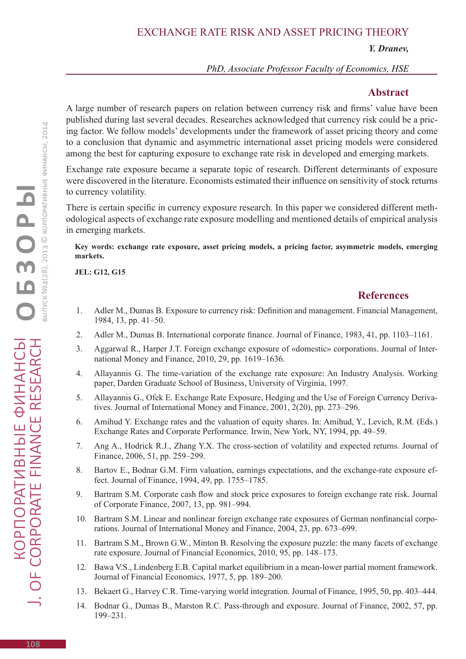*Y. Dranev,* 

*PhD, Associate Professor Faculty of Economics, HSE*

## **Abstract**

A large number of research papers on relation between currency risk and firms' value have been published during last several decades. Researches acknowledged that currency risk could be a pricing factor. We follow models' developments under the framework of asset pricing theory and come to a conclusion that dynamic and asymmetric international asset pricing models were considered among the best for capturing exposure to exchange rate risk in developed and emerging markets.

Exchange rate exposure became a separate topic of research. Different determinants of exposure were discovered in the literature. Economists estimated their influence on sensitivity of stock returns to currency volatility.

There is certain specific in currency exposure research. In this paper we considered different methodological aspects of exchange rate exposure modelling and mentioned details of empirical analysis in emerging markets.

**Key words: exchange rate exposure, asset pricing models, a pricing factor, asymmetric models, emerging markets.**

**JEL: G12, G15**

## **References**

- 1. Adler M., Dumas B. Exposure to currency risk: Definition and management. Financial Management, 1984, 13, pp. 41–50.
- 2. Adler M., Dumas B. International corporate finance. Journal of Finance, 1983, 41, pp. 1103–1161.
- 3. Aggarwal R., Harper J.T. Foreign exchange exposure of «domestic» corporations. Journal of International Money and Finance, 2010, 29, pp. 1619–1636.
- 4. Allayannis G. The time-variation of the exchange rate exposure: An Industry Analysis. Working paper, Darden Graduate School of Business, University of Virginia, 1997.
- 5. Allayannis G., Ofek E. Exchange Rate Exposure, Hedging and the Use of Foreign Currency Derivatives. Journal of International Money and Finance, 2001, 2(20), pp. 273–296.
- 6. Amihud Y. Exchange rates and the valuation of equity shares. In: Amihud, Y., Levich, R.M. (Eds.) Exchange Rates and Corporate Performance. Irwin, New York, NY, 1994, pp. 49–59.
- 7. Ang A., Hodrick R.J., Zhang Y.X. The cross-section of volatility and expected returns. Journal of Finance, 2006, 51, pp. 259–299.
- 8. Bartov E., Bodnar G.M. Firm valuation, earnings expectations, and the exchange-rate exposure effect. Journal of Finance, 1994, 49, pp. 1755–1785.
- 9. Bartram S.M. Corporate cash flow and stock price exposures to foreign exchange rate risk. Journal of Corporate Finance, 2007, 13, pp. 981–994.
- 10. Bartram S.M. Linear and nonlinear foreign exchange rate exposures of German nonfinancial corporations. Journal of International Money and Finance, 2004, 23, pp. 673–699.
- 11. Bartram S.M., Brown G.W., Minton B. Resolving the exposure puzzle: the many facets of exchange rate exposure. Journal of Financial Economics, 2010, 95, pp. 148–173.
- 12. Bawa V.S., Lindenberg E.B. Capital market equilibrium in a mean-lower partial moment framework. Journal of Financial Economics, 1977, 5, pp. 189–200.
- 13. Bekaert G., Harvey C.R. Time-varying world integration. Journal of Finance, 1995, 50, pp. 403–444.
- 14. Bodnar G., Dumas B., Marston R.C. Pass-through and exposure. Journal of Finance, 2002, 57, pp. 199–231.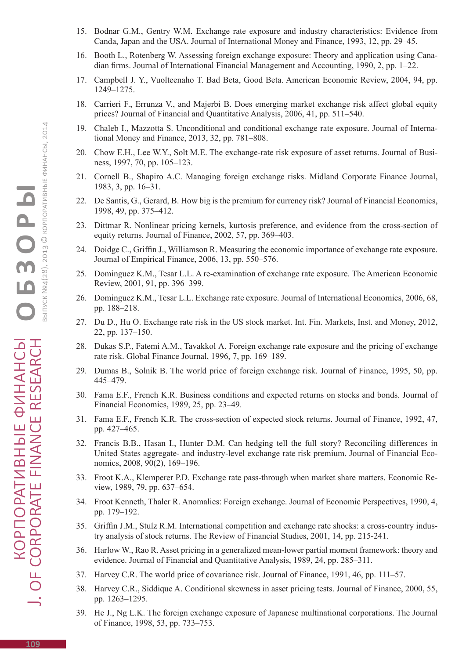- 15. Bodnar G.M., Gentry W.M. Exchange rate exposure and industry characteristics: Evidence from Canda, Japan and the USA. Journal of International Money and Finance, 1993, 12, pp. 29–45.
- 16. Booth L., Rotenberg W. Assessing foreign exchange exposure: Theory and application using Canadian firms. Journal of International Financial Management and Accounting, 1990, 2, pp. 1–22.
- 17. Campbell J. Y., Vuolteenaho T. Bad Beta, Good Beta. American Economic Review, 2004, 94, pp. 1249–1275.
- 18. Carrieri F., Errunza V., and Majerbi B. Does emerging market exchange risk affect global equity prices? Journal of Financial and Quantitative Analysis, 2006, 41, pp. 511–540.
- 19. Chaleb I., Mazzotta S. Unconditional and conditional exchange rate exposure. Journal of International Money and Finance, 2013, 32, pp. 781–808.
- 20. Chow E.H., Lee W.Y., Solt M.E. The exchange-rate risk exposure of asset returns. Journal of Business, 1997, 70, pp. 105–123.
- 21. Cornell B., Shapiro A.C. Managing foreign exchange risks. Midland Corporate Finance Journal, 1983, 3, pp. 16–31.
- 22. De Santis, G., Gerard, B. How big is the premium for currency risk? Journal of Financial Economics, 1998, 49, pp. 375–412.
- 23. Dittmar R. Nonlinear pricing kernels, kurtosis preference, and evidence from the cross-section of equity returns. Journal of Finance, 2002, 57, pp. 369–403.
- 24. Doidge C., Griffin J., Williamson R. Measuring the economic importance of exchange rate exposure. Journal of Empirical Finance, 2006, 13, pp. 550–576.
- 25. Dominguez K.M., Tesar L.L. A re-examination of exchange rate exposure. The American Economic Review, 2001, 91, pp. 396–399.
- 26. Dominguez K.M., Tesar L.L. Exchange rate exposure. Journal of International Economics, 2006, 68, pp. 188–218.
- 27. Du D., Hu O. Exchange rate risk in the US stock market. Int. Fin. Markets, Inst. and Money, 2012, 22, pp. 137–150.
- 28. Dukas S.P., Fatemi A.M., Tavakkol А. Foreign exchange rate exposure and the pricing of exchange rate risk. Global Finance Journal, 1996, 7, pp. 169–189.
- 29. Dumas B., Solnik B. The world price of foreign exchange risk. Journal of Finance, 1995, 50, pp. 445–479.
- 30. Fama E.F., French K.R. Business conditions and expected returns on stocks and bonds. Journal of Financial Economics, 1989, 25, pp. 23–49.
- 31. Fama E.F., French K.R. The cross-section of expected stock returns. Journal of Finance, 1992, 47, pp. 427–465.
- 32. Francis B.B., Hasan I., Hunter D.M. Can hedging tell the full story? Reconciling differences in United States aggregate- and industry-level exchange rate risk premium. Journal of Financial Economics, 2008, 90(2), 169–196.
- 33. Froot K.A., Klemperer P.D. Exchange rate pass-through when market share matters. Economic Review, 1989, 79, pp. 637–654.
- 34. Froot Kenneth, Thaler R. Anomalies: Foreign exchange. Journal of Economic Perspectives, 1990, 4, pp. 179–192.
- 35. Griffin J.M., Stulz R.M. International competition and exchange rate shocks: a cross-country industry analysis of stock returns. The Review of Financial Studies, 2001, 14, pp. 215-241.
- 36. Harlow W., Rao R. Asset pricing in a generalized mean-lower partial moment framework: theory and evidence. Journal of Financial and Quantitative Analysis, 1989, 24, pp. 285–311.
- 37. Harvey C.R. The world price of covariance risk. Journal of Finance, 1991, 46, pp. 111–57.
- 38. Harvey C.R., Siddique A. Conditional skewness in asset pricing tests. Journal of Finance, 2000, 55, pp. 1263–1295.
- 39. He J., Ng L.K. The foreign exchange exposure of Japanese multinational corporations. The Journal of Finance, 1998, 53, pp. 733–753.